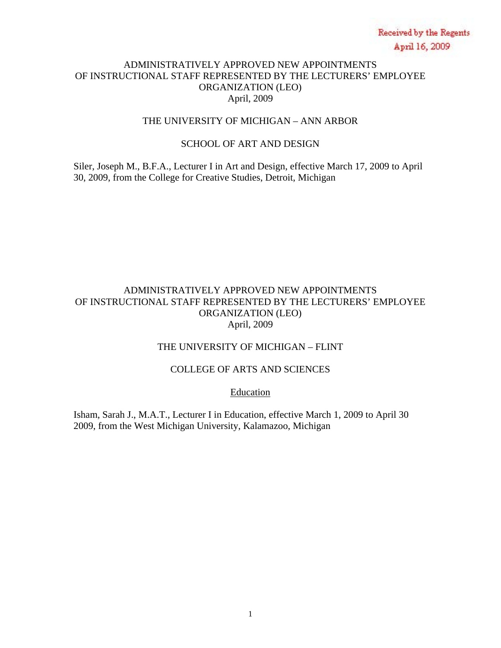# ADMINISTRATIVELY APPROVED NEW APPOINTMENTS OF INSTRUCTIONAL STAFF REPRESENTED BY THE LECTURERS' EMPLOYEE ORGANIZATION (LEO) April, 2009

#### THE UNIVERSITY OF MICHIGAN – ANN ARBOR

# SCHOOL OF ART AND DESIGN

Siler, Joseph M., B.F.A., Lecturer I in Art and Design, effective March 17, 2009 to April 30, 2009, from the College for Creative Studies, Detroit, Michigan

# ADMINISTRATIVELY APPROVED NEW APPOINTMENTS OF INSTRUCTIONAL STAFF REPRESENTED BY THE LECTURERS' EMPLOYEE ORGANIZATION (LEO) April, 2009

# THE UNIVERSITY OF MICHIGAN – FLINT

# COLLEGE OF ARTS AND SCIENCES

Education

Isham, Sarah J., M.A.T., Lecturer I in Education, effective March 1, 2009 to April 30 2009, from the West Michigan University, Kalamazoo, Michigan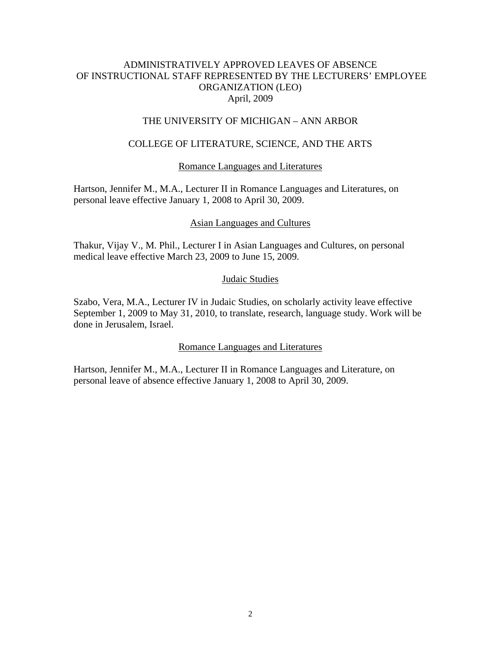# ADMINISTRATIVELY APPROVED LEAVES OF ABSENCE OF INSTRUCTIONAL STAFF REPRESENTED BY THE LECTURERS' EMPLOYEE ORGANIZATION (LEO) April, 2009

#### THE UNIVERSITY OF MICHIGAN – ANN ARBOR

# COLLEGE OF LITERATURE, SCIENCE, AND THE ARTS

#### Romance Languages and Literatures

Hartson, Jennifer M., M.A., Lecturer II in Romance Languages and Literatures, on personal leave effective January 1, 2008 to April 30, 2009.

#### Asian Languages and Cultures

Thakur, Vijay V., M. Phil., Lecturer I in Asian Languages and Cultures, on personal medical leave effective March 23, 2009 to June 15, 2009.

#### Judaic Studies

Szabo, Vera, M.A., Lecturer IV in Judaic Studies, on scholarly activity leave effective September 1, 2009 to May 31, 2010, to translate, research, language study. Work will be done in Jerusalem, Israel.

#### Romance Languages and Literatures

Hartson, Jennifer M., M.A., Lecturer II in Romance Languages and Literature, on personal leave of absence effective January 1, 2008 to April 30, 2009.